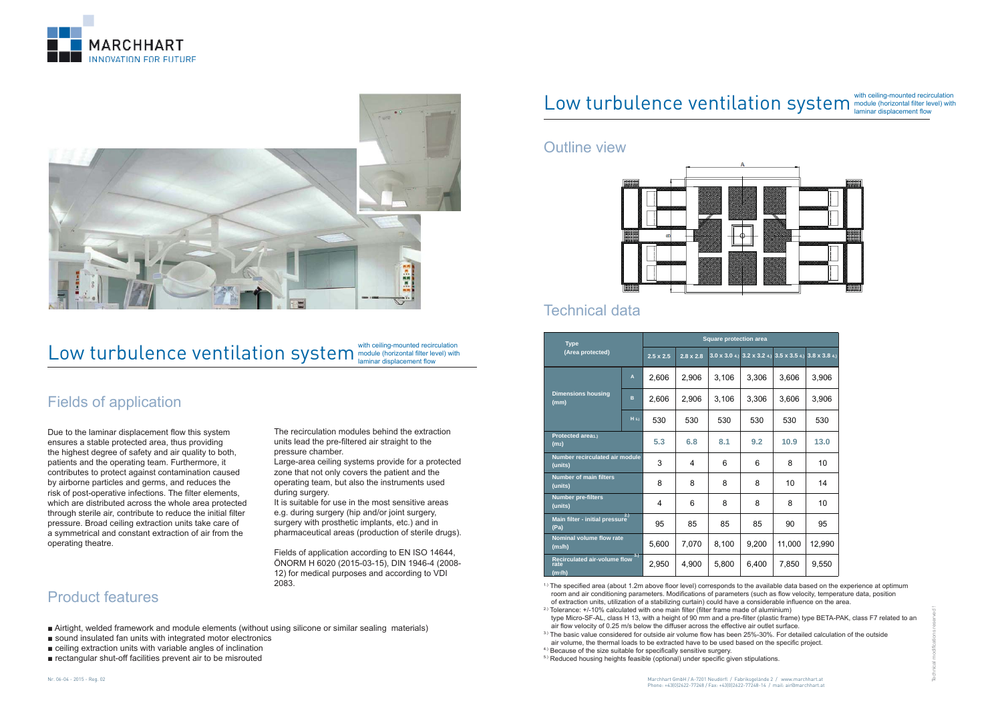



# Low turbulence ventilation system  $\sum_{\text{lamina} \text{ displacement flow}}$  (horizontal filter level) with

Technical modi

fi cations reserved !

#### Nr. 06-04 - 2015 - Reg. 02

# Low turbulence ventilation system  $\sum_{\text{laminar displacement flow}}$  (horizontal filter level) with

## Fields of application

Due to the laminar displacement flow this system ensures a stable protected area, thus providing the highest degree of safety and air quality to both, patients and the operating team. Furthermore, it contributes to protect against contamination caused by airborne particles and germs, and reduces the risk of post-operative infections. The filter elements, which are distributed across the whole area protected through sterile air, contribute to reduce the initial filter pressure. Broad ceiling extraction units take care of a symmetrical and constant extraction of air from the operating theatre.

The recirculation modules behind the extraction units lead the pre-filtered air straight to the pressure chamber.

Large-area ceiling systems provide for a protected zone that not only covers the patient and the operating team, but also the instruments used during surgery.

It is suitable for use in the most sensitive areas e.g. during surgery (hip and/or joint surgery, surgery with prosthetic implants, etc.) and in pharmaceutical areas (production of sterile drugs).

Fields of application according to EN ISO 14644, ÖNORM H 6020 (2015-03-15), DIN 1946-4 (2008- 12) for medical purposes and according to VDI 2083.

### Outline view



### Technical data

# Product features

- Airtight, welded framework and module elements (without using silicone or similar sealing materials)
- sound insulated fan units with integrated motor electronics
- ceiling extraction units with variable angles of inclination
- rectangular shut-off facilities prevent air to be misrouted

| <b>Type</b><br>(Area protected)                             |                    | <b>Square protection area</b> |                  |       |       |                                                         |        |
|-------------------------------------------------------------|--------------------|-------------------------------|------------------|-------|-------|---------------------------------------------------------|--------|
|                                                             |                    | $2.5 \times 2.5$              | $2.8 \times 2.8$ |       |       | 3.0 x 3.0 4.) 3.2 x 3.2 4.) 3.5 x 3.5 4.) 3.8 x 3.8 4.) |        |
| <b>Dimensions housing</b><br>(mm)                           | A                  | 2,606                         | 2,906            | 3,106 | 3,306 | 3,606                                                   | 3,906  |
|                                                             | B                  | 2,606                         | 2,906            | 3,106 | 3,306 | 3,606                                                   | 3,906  |
|                                                             | $H$ <sub>5.)</sub> | 530                           | 530              | 530   | 530   | 530                                                     | 530    |
| Protected area1.)<br>(m <sub>2</sub> )                      |                    | 5.3                           | 6.8              | 8.1   | 9.2   | 10.9                                                    | 13.0   |
| Number recirculated air module<br>(units)                   |                    | 3                             | 4                | 6     | 6     | 8                                                       | 10     |
| <b>Number of main filters</b><br>(units)                    |                    | 8                             | 8                | 8     | 8     | 10                                                      | 14     |
| <b>Number pre-filters</b><br>(units)                        |                    | 4                             | 6                | 8     | 8     | 8                                                       | 10     |
| Main filter - initial pressure <sup>2.)</sup><br>(Pa)       |                    | 95                            | 85               | 85    | 85    | 90                                                      | 95     |
| <b>Nominal volume flow rate</b><br>(m <sub>3</sub> /h)      |                    | 5,600                         | 7,070            | 8,100 | 9,200 | 11,000                                                  | 12,990 |
| 3.<br><b>Recirculated air-volume flow</b><br>rate<br>(mª/h) |                    | 2,950                         | 4,900            | 5,800 | 6,400 | 7,850                                                   | 9,550  |

 $1.1$  The specified area (about 1.2m above floor level) corresponds to the available data based on the experience at optimum room and air conditioning parameters. Modifications of parameters (such as flow velocity, temperature data, position of extraction units, utilization of a stabilizing curtain) could have a considerable influence on the area.

<sup>2.)</sup> Tolerance:  $+/-10\%$  calculated with one main filter (filter frame made of aluminium) type Micro-SF-AL, class H 13, with a height of 90 mm and a pre-filter (plastic frame) type BETA-PAK, class F7 related to an air flow velocity of 0.25 m/s below the diffuser across the effective air outlet surface.

 $3$ ) The basic value considered for outside air volume flow has been 25%-30%. For detailed calculation of the outside air volume, the thermal loads to be extracted have to be used based on the specific project.

- <sup>4.)</sup> Because of the size suitable for specifically sensitive surgery.
- 5.) Reduced housing heights feasible (optional) under specific given stipulations.